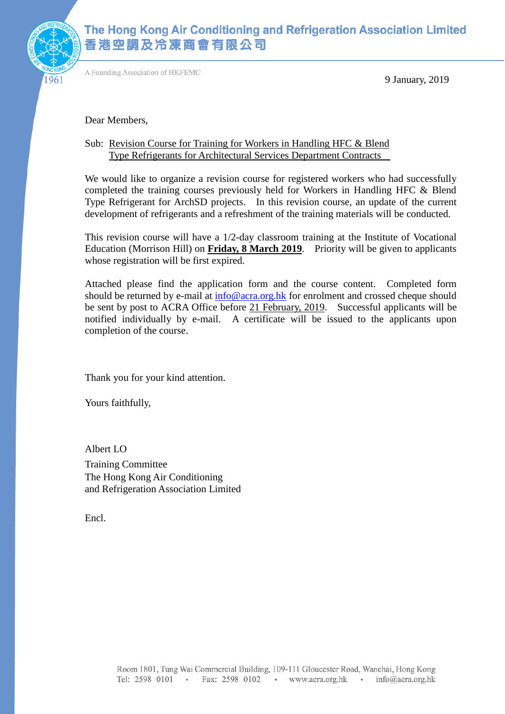

# The Hong Kong Air Conditioning and Refrigeration Association Limited 香港空調及冷凍商會有限公司

A Founding Association of HKFEMC

9 January, 2019

Dear Members,

#### Sub: Revision Course for Training for Workers in Handling HFC & Blend Type Refrigerants for Architectural Services Department Contracts

We would like to organize a revision course for registered workers who had successfully completed the training courses previously held for Workers in Handling HFC & Blend Type Refrigerant for ArchSD projects. In this revision course, an update of the current development of refrigerants and a refreshment of the training materials will be conducted.

This revision course will have a 1/2-day classroom training at the Institute of Vocational Education (Morrison Hill) on **Friday, 8 March 2019**. Priority will be given to applicants whose registration will be first expired.

Attached please find the application form and the course content. Completed form should be returned by e-mail at  $info@acra.org.hk$  for enrolment and crossed cheque should be sent by post to ACRA Office before 21 February, 2019. Successful applicants will be notified individually by e-mail. A certificate will be issued to the applicants upon completion of the course.

Thank you for your kind attention.

Yours faithfully,

Albert LO Training Committee The Hong Kong Air Conditioning and Refrigeration Association Limited

Encl.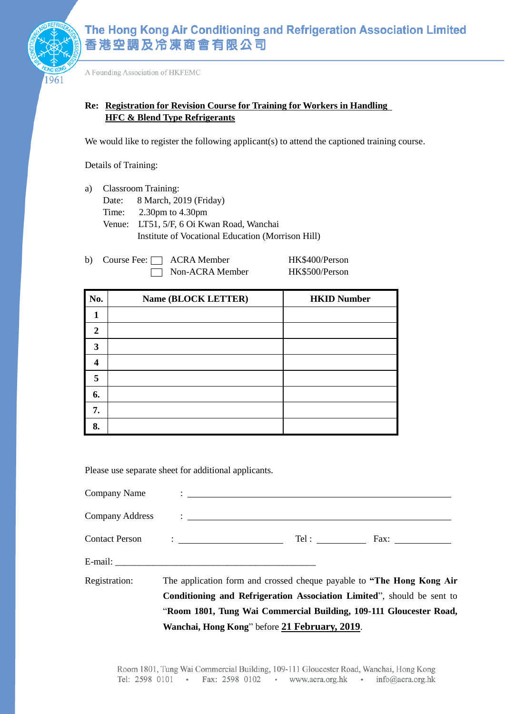

A Founding Association of HKFEMC

#### **Re: Registration for Revision Course for Training for Workers in Handling HFC & Blend Type Refrigerants**

We would like to register the following applicant(s) to attend the captioned training course.

Details of Training:

- a) Classroom Training:
	- Date: 8 March, 2019 (Friday)
		- Time: 2.30pm to 4.30pm
		- Venue: LT51, 5/F, 6 Oi Kwan Road, Wanchai Institute of Vocational Education (Morrison Hill)
- b) Course Fee: ACRA Member HK\$400/Person Non-ACRA Member HK\$500/Person

| No.                  | Name (BLOCK LETTER) | <b>HKID Number</b> |
|----------------------|---------------------|--------------------|
|                      |                     |                    |
| 2                    |                     |                    |
| 3                    |                     |                    |
| $\overline{\Lambda}$ |                     |                    |
| 5                    |                     |                    |
| 6.                   |                     |                    |
| 7.                   |                     |                    |
| 8.                   |                     |                    |

Please use separate sheet for additional applicants.

|               | Wanchai, Hong Kong" before 21 February, 2019.                                                                                                                                                                                  |  |
|---------------|--------------------------------------------------------------------------------------------------------------------------------------------------------------------------------------------------------------------------------|--|
|               | "Room 1801, Tung Wai Commercial Building, 109-111 Gloucester Road,                                                                                                                                                             |  |
|               | Conditioning and Refrigeration Association Limited", should be sent to                                                                                                                                                         |  |
| Registration: | The application form and crossed cheque payable to "The Hong Kong Air"                                                                                                                                                         |  |
|               |                                                                                                                                                                                                                                |  |
|               |                                                                                                                                                                                                                                |  |
|               | Company Address company and the company and the company and the company and the company and the company of the company of the company of the company of the company of the company of the company of the company of the compan |  |
|               |                                                                                                                                                                                                                                |  |